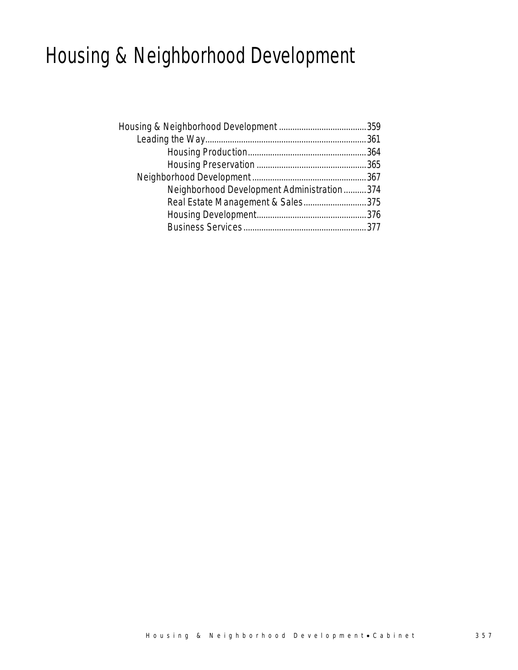# Housing & Neighborhood Development

| Neighborhood Development Administration374 |  |
|--------------------------------------------|--|
| Real Estate Management & Sales375          |  |
|                                            |  |
|                                            |  |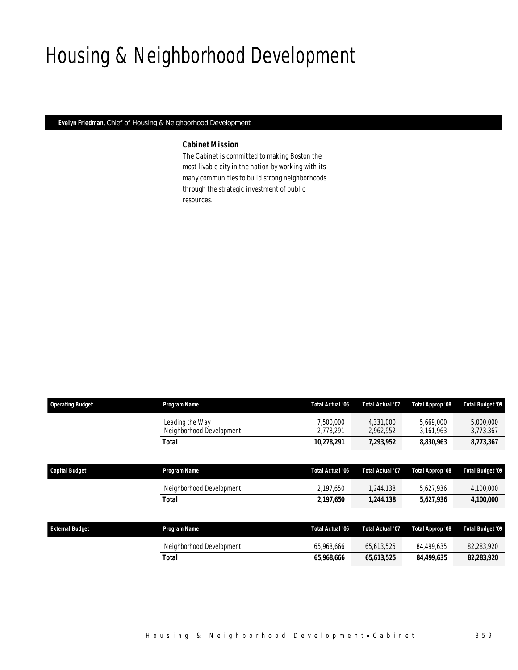# Housing & Neighborhood Development

*Evelyn Friedman, Chief of Housing & Neighborhood Development* 

## *Cabinet Mission*

The Cabinet is committed to making Boston the most livable city in the nation by working with its many communities to build strong neighborhoods through the strategic investment of public resources.

| <b>Operating Budget</b> | Program Name                                | Total Actual '06        | <b>Total Actual '07</b> | Total Approp '08       | Total Budget '09        |
|-------------------------|---------------------------------------------|-------------------------|-------------------------|------------------------|-------------------------|
|                         | Leading the Way<br>Neighborhood Development | 7.500.000<br>2,778,291  | 4.331.000<br>2,962,952  | 5.669.000<br>3,161,963 | 5,000,000<br>3,773,367  |
|                         | <b>Total</b>                                | 10,278,291              | 7,293,952               | 8,830,963              | 8,773,367               |
|                         |                                             |                         |                         |                        |                         |
| <b>Capital Budget</b>   | Program Name                                | <b>Total Actual '06</b> | <b>Total Actual '07</b> | Total Approp '08       | <b>Total Budget '09</b> |
|                         | Neighborhood Development                    | 2,197,650               | 1,244.138               | 5,627,936              | 4,100,000               |
|                         | <b>Total</b>                                | 2,197,650               | 1,244.138               | 5,627,936              | 4,100,000               |
|                         |                                             |                         |                         |                        |                         |
| <b>External Budget</b>  | Program Name                                | <b>Total Actual '06</b> | Total Actual '07        | Total Approp '08       | <b>Total Budget '09</b> |
|                         | Neighborhood Development                    | 65,968,666              | 65,613,525              | 84,499,635             | 82,283,920              |
|                         | <b>Total</b>                                | 65,968,666              | 65,613,525              | 84,499,635             | 82,283,920              |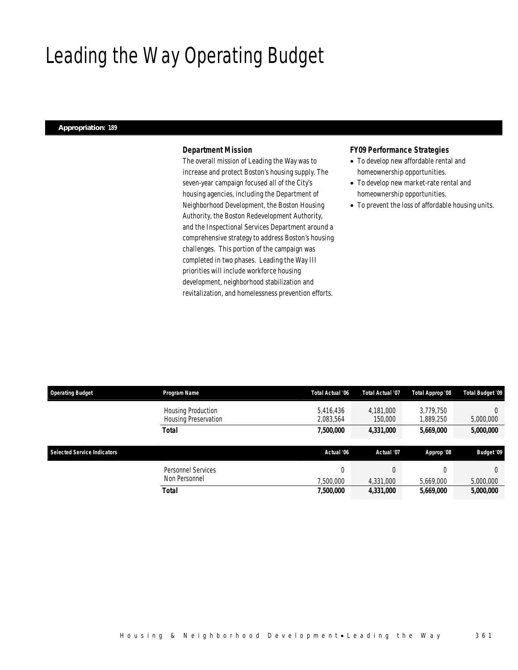# Leading the Way Operating Budget

### *Appropriation: 189*

## *Department Mission*

The overall mission of Leading the Way was to increase and protect Boston's housing supply. The seven-year campaign focused all of the City's housing agencies, including the Department of Neighborhood Development, the Boston Housing Authority, the Boston Redevelopment Authority, and the Inspectional Services Department around a comprehensive strategy to address Boston's housing challenges. This portion of the campaign was completed in two phases. Leading the Way III priorities will include workforce housing development, neighborhood stabilization and revitalization, and homelessness prevention efforts.

### *FY09 Performance Strategies*

- To develop new affordable rental and homeownership opportunities.
- To develop new market-rate rental and homeownership opportunities.
- To prevent the loss of affordable housing units.

| <b>Operating Budget</b>     | Program Name                                      | <b>Total Actual '06</b> | <b>Total Actual '07</b> | Total Approp '08       | Total Budget '09  |
|-----------------------------|---------------------------------------------------|-------------------------|-------------------------|------------------------|-------------------|
|                             | <b>Housing Production</b><br>Housing Preservation | 5,416,436<br>2,083,564  | 4.181.000<br>150,000    | 3,779,750<br>1,889,250 | 0<br>5,000,000    |
|                             | Total                                             | 7,500,000               | 4,331,000               | 5,669,000              | 5,000,000         |
| Selected Service Indicators |                                                   |                         |                         |                        |                   |
|                             |                                                   | Actual '06              | Actual '07              | Approp '08             | <b>Budget '09</b> |
|                             | Personnel Services                                |                         |                         |                        | $\Omega$          |
|                             | Non Personnel                                     | ,500,000                | 4,331,000               | 5,669,000              | 5,000,000         |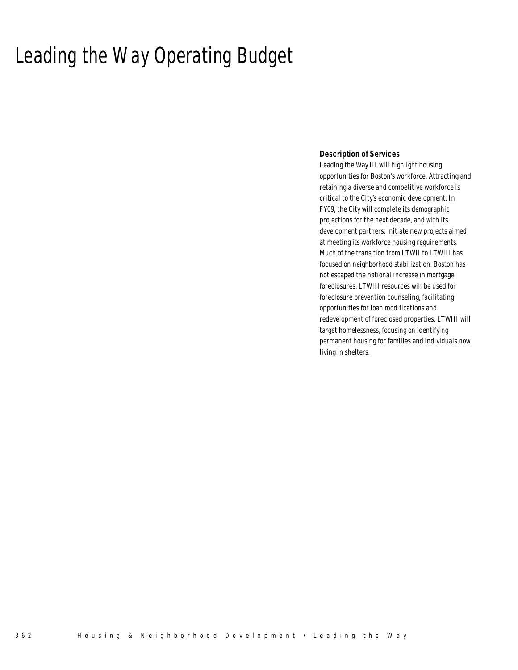# Leading the Way Operating Budget

## *Description of Services*

Leading the Way III will highlight housing opportunities for Boston's workforce. Attracting and retaining a diverse and competitive workforce is critical to the City's economic development. In FY09, the City will complete its demographic projections for the next decade, and with its development partners, initiate new projects aimed at meeting its workforce housing requirements. Much of the transition from LTWII to LTWIII has focused on neighborhood stabilization. Boston has not escaped the national increase in mortgage foreclosures. LTWIII resources will be used for foreclosure prevention counseling, facilitating opportunities for loan modifications and redevelopment of foreclosed properties. LTWIII will target homelessness, focusing on identifying permanent housing for families and individuals now living in shelters.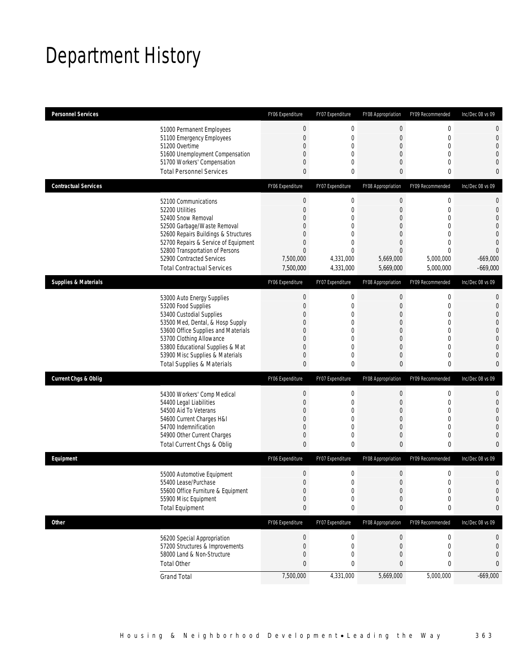# Department History

| <b>Personnel Services</b>                                                                                 |                                                                                                                                                                                         | FY06 Expenditure                                                                                            | FY07 Expenditure                                                                                                                 | FY08 Appropriation                                                                                                                   | FY09 Recommended                                                                                                       | Inc/Dec 08 vs 09                                                                   |
|-----------------------------------------------------------------------------------------------------------|-----------------------------------------------------------------------------------------------------------------------------------------------------------------------------------------|-------------------------------------------------------------------------------------------------------------|----------------------------------------------------------------------------------------------------------------------------------|--------------------------------------------------------------------------------------------------------------------------------------|------------------------------------------------------------------------------------------------------------------------|------------------------------------------------------------------------------------|
| 51000 Permanent Employees<br>51200 Overtime                                                               | 51100 Emergency Employees<br>51600 Unemployment Compensation                                                                                                                            | $\bf{0}$<br>$\boldsymbol{0}$<br>0<br>$\overline{0}$                                                         | $\boldsymbol{0}$<br>$\mathbf{0}$<br>$\mathbf 0$<br>$\mathbf 0$                                                                   | $\boldsymbol{0}$<br>$\mathbf 0$<br>$\overline{0}$<br>$\theta$                                                                        | 0<br>$\mathbf{0}$<br>$\mathbf{0}$<br>$\mathbf{0}$                                                                      | 0<br>$\mathbf 0$<br>$\overline{0}$<br>0                                            |
| <b>Total Personnel Services</b>                                                                           | 51700 Workers' Compensation                                                                                                                                                             | 0<br>$\mathbf{0}$                                                                                           | $\mathbf{0}$<br>0                                                                                                                | $\overline{0}$<br>$\mathbf{0}$                                                                                                       | $\mathbf{0}$<br>0                                                                                                      | 0<br>0                                                                             |
| <b>Contractual Services</b>                                                                               |                                                                                                                                                                                         | FY06 Expenditure                                                                                            | FY07 Expenditure                                                                                                                 | FY08 Appropriation                                                                                                                   | FY09 Recommended                                                                                                       | Inc/Dec 08 vs 09                                                                   |
| 52100 Communications<br>52200 Utilities<br>52400 Snow Removal<br>52900 Contracted Services                | 52500 Garbage/Waste Removal<br>52600 Repairs Buildings & Structures<br>52700 Repairs & Service of Equipment<br>52800 Transportation of Persons<br><b>Total Contractual Services</b>     | $\boldsymbol{0}$<br>$\theta$<br>0<br>$\theta$<br>$\Omega$<br>$\theta$<br>$\theta$<br>7,500,000<br>7,500,000 | $\mathbf 0$<br>$\mathbf 0$<br>$\mathbf{0}$<br>$\mathbf{0}$<br>$\Omega$<br>$\mathbf{0}$<br>$\mathbf{0}$<br>4,331,000<br>4,331,000 | $\boldsymbol{0}$<br>$\theta$<br>$\overline{0}$<br>$\theta$<br>$\theta$<br>$\overline{0}$<br>$\overline{0}$<br>5,669,000<br>5,669,000 | 0<br>$\mathbf{0}$<br>$\mathbf{0}$<br>$\mathbf{0}$<br>$\mathbf 0$<br>$\mathbf{0}$<br>$\Omega$<br>5,000,000<br>5,000,000 | 0<br>$\mathbf 0$<br>0<br>0<br>0<br>$\overline{0}$<br>0<br>$-669,000$<br>$-669,000$ |
| <b>Supplies &amp; Materials</b>                                                                           |                                                                                                                                                                                         | FY06 Expenditure                                                                                            | FY07 Expenditure                                                                                                                 | FY08 Appropriation                                                                                                                   | FY09 Recommended                                                                                                       | Inc/Dec 08 vs 09                                                                   |
| 53000 Auto Energy Supplies<br>53200 Food Supplies<br>53400 Custodial Supplies<br>53700 Clothing Allowance | 53500 Med, Dental, & Hosp Supply<br>53600 Office Supplies and Materials<br>53800 Educational Supplies & Mat<br>53900 Misc Supplies & Materials<br><b>Total Supplies &amp; Materials</b> | $\bf{0}$<br>$\theta$<br>$\Omega$<br>0<br>$\Omega$<br>0<br>0<br>0<br>$\mathbf{0}$                            | 0<br>$\mathbf{0}$<br>$\mathbf{0}$<br>0<br>$\Omega$<br>$\mathbf{0}$<br>$\mathbf{0}$<br>$\mathbf{0}$<br>0                          | $\mathbf 0$<br>$\overline{0}$<br>$\theta$<br>$\theta$<br>$\theta$<br>$\overline{0}$<br>$\theta$<br>$\mathbf 0$<br>$\mathbf{0}$       | 0<br>$\mathbf{0}$<br>$\mathbf 0$<br>$\mathbf 0$<br>$\mathbf 0$<br>$\mathbf{0}$<br>$\mathbf{0}$<br>$\mathbf{0}$<br>0    | 0<br>$\mathbf 0$<br>0<br>0<br>$\mathbf 0$<br>$\overline{0}$<br>0<br>0<br>0         |
| <b>Current Chgs &amp; Oblig</b>                                                                           |                                                                                                                                                                                         | FY06 Expenditure                                                                                            | FY07 Expenditure                                                                                                                 | FY08 Appropriation                                                                                                                   | FY09 Recommended                                                                                                       | Inc/Dec 08 vs 09                                                                   |
| 54400 Legal Liabilities<br>54500 Aid To Veterans<br>54600 Current Charges H&I<br>54700 Indemnification    | 54300 Workers' Comp Medical<br>54900 Other Current Charges<br>Total Current Chgs & Oblig                                                                                                | $\boldsymbol{0}$<br>$\theta$<br>$\Omega$<br>0<br>0<br>$\mathbf 0$<br>$\mathbf{0}$                           | $\mathbf 0$<br>$\mathbf{0}$<br>$\Omega$<br>0<br>$\mathbf{0}$<br>$\mathbf 0$<br>0                                                 | $\mathbf 0$<br>$\theta$<br>$\theta$<br>$\theta$<br>$\theta$<br>$\mathbf 0$<br>$\mathbf{0}$                                           | $\mathbf 0$<br>$\mathbf 0$<br>$\mathbf{0}$<br>$\mathbf 0$<br>$\mathbf 0$<br>$\mathbf 0$<br>$\mathbf{0}$                | 0<br>$\mathbf 0$<br>0<br>0<br>0<br>$\mathbf 0$<br>0                                |
| Equipment                                                                                                 |                                                                                                                                                                                         | FY06 Expenditure                                                                                            | FY07 Expenditure                                                                                                                 | FY08 Appropriation                                                                                                                   | FY09 Recommended                                                                                                       | Inc/Dec 08 vs 09                                                                   |
| 55400 Lease/Purchase<br>55900 Misc Equipment<br><b>Total Equipment</b>                                    | 55000 Automotive Equipment<br>55600 Office Furniture & Equipment                                                                                                                        | 0<br>$\Omega$<br>$\boldsymbol{0}$<br>0<br>$\pmb{0}$                                                         | 0<br>$\Omega$<br>$\boldsymbol{0}$<br>0<br>0                                                                                      | $\theta$<br>$\Omega$<br>$\boldsymbol{0}$<br>$\theta$<br>$\boldsymbol{0}$                                                             | $\boldsymbol{0}$<br>$\Omega$<br>$\boldsymbol{0}$<br>$\mathbf 0$<br>0                                                   | 0<br>$\Omega$<br>$\mathbf 0$<br>0<br>0                                             |
| Other                                                                                                     |                                                                                                                                                                                         | FY06 Expenditure                                                                                            | FY07 Expenditure                                                                                                                 | FY08 Appropriation                                                                                                                   | FY09 Recommended                                                                                                       | Inc/Dec 08 vs 09                                                                   |
| 56200 Special Appropriation<br><b>Total Other</b>                                                         | 57200 Structures & Improvements<br>58000 Land & Non-Structure                                                                                                                           | $\boldsymbol{0}$<br>0<br>$\overline{0}$<br>0                                                                | 0<br>$\mathbf 0$<br>0<br>0                                                                                                       | $\boldsymbol{0}$<br>$\theta$<br>$\theta$<br>$\boldsymbol{0}$                                                                         | 0<br>0<br>$\mathbf 0$<br>0                                                                                             | 0<br>0<br>0<br>0                                                                   |
| <b>Grand Total</b>                                                                                        |                                                                                                                                                                                         | 7,500,000                                                                                                   | 4,331,000                                                                                                                        | 5,669,000                                                                                                                            | 5,000,000                                                                                                              | $-669,000$                                                                         |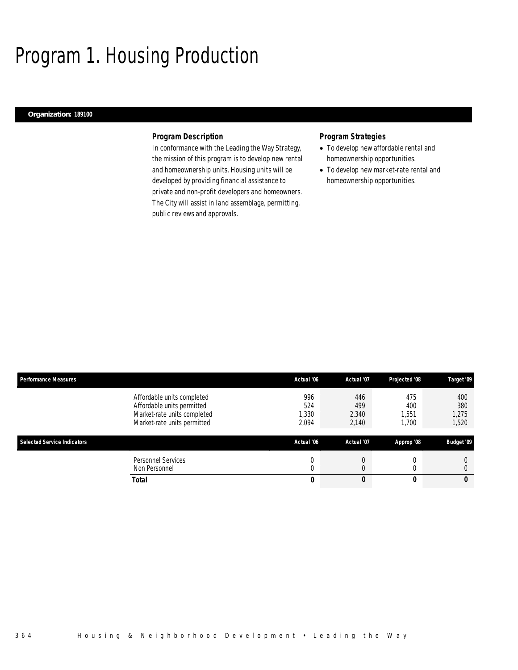# Program 1. Housing Production

## *Organization: 189100*

## *Program Description*

In conformance with the Leading the Way Strategy, the mission of this program is to develop new rental and homeownership units. Housing units will be developed by providing financial assistance to private and non-profit developers and homeowners. The City will assist in land assemblage, permitting, public reviews and approvals.

## *Program Strategies*

- To develop new affordable rental and homeownership opportunities.
- To develop new market-rate rental and homeownership opportunities.

| <b>Performance Measures</b>        |                                                                                                                        | Actual '06                 | Actual '07                   | Projected '08               | Target '09                   |
|------------------------------------|------------------------------------------------------------------------------------------------------------------------|----------------------------|------------------------------|-----------------------------|------------------------------|
|                                    | Affordable units completed<br>Affordable units permitted<br>Market-rate units completed<br>Market-rate units permitted | 996<br>524<br>330<br>2,094 | 446<br>499<br>2,340<br>2,140 | 475<br>400<br>,551<br>1,700 | 400<br>380<br>1,275<br>1,520 |
| <b>Selected Service Indicators</b> |                                                                                                                        | Actual '06                 | Actual '07                   | Approp '08                  | <b>Budget '09</b>            |
|                                    | Personnel Services<br>Non Personnel                                                                                    |                            |                              |                             |                              |
|                                    | <b>Total</b>                                                                                                           | 0                          |                              | IJ                          | 0                            |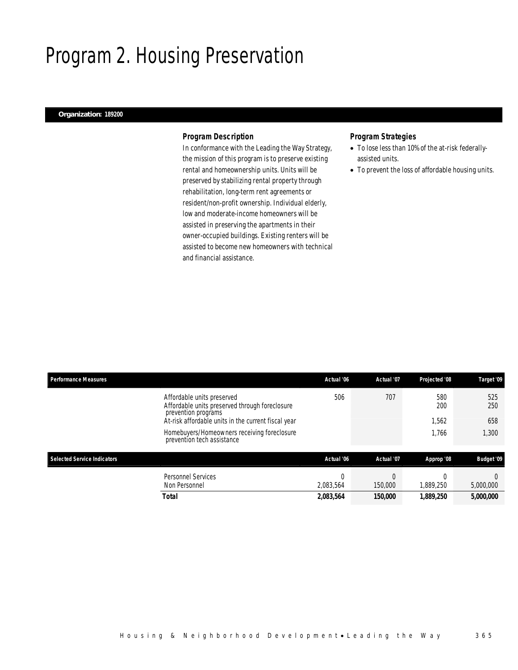# Program 2. Housing Preservation

## *Organization: 189200*

## *Program Description*

In conformance with the Leading the Way Strategy, the mission of this program is to preserve existing rental and homeownership units. Units will be preserved by stabilizing rental property through rehabilitation, long-term rent agreements or resident/non-profit ownership. Individual elderly, low and moderate-income homeowners will be assisted in preserving the apartments in their owner-occupied buildings. Existing renters will be assisted to become new homeowners with technical and financial assistance.

## *Program Strategies*

- To lose less than 10% of the at-risk federallyassisted units.
- To prevent the loss of affordable housing units.

| <b>Performance Measures</b>        |                                                                                                     | Actual '06            | Actual '07 | Projected '08 | Target '09        |
|------------------------------------|-----------------------------------------------------------------------------------------------------|-----------------------|------------|---------------|-------------------|
|                                    | Affordable units preserved<br>Affordable units preserved through foreclosure<br>prevention programs | 506                   | 707        | 580<br>200    | 525<br>250        |
|                                    | At-risk affordable units in the current fiscal year                                                 |                       |            | 1.562         | 658               |
|                                    | Homebuyers/Homeowners receiving foreclosure<br>prevention tech assistance                           |                       |            | 1.766         | 1,300             |
| <b>Selected Service Indicators</b> |                                                                                                     | Actual '06            | Actual '07 | Approp '08    | <b>Budget '09</b> |
|                                    | <b>Personnel Services</b><br>Non Personnel                                                          | $\Omega$<br>2,083,564 | 150,000    | 1,889,250     | 5,000,000         |
|                                    | Total                                                                                               | 2,083,564             | 150,000    | 1,889,250     | 5,000,000         |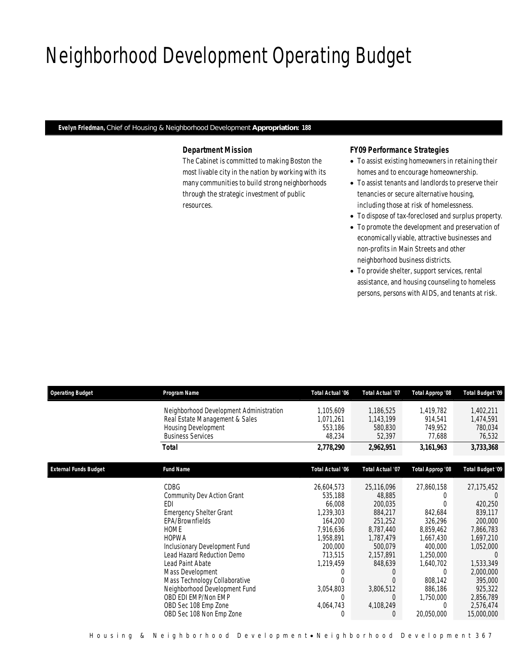# Neighborhood Development Operating Budget

*Evelyn Friedman, Chief of Housing & Neighborhood Development Appropriation: 188* 

## *Department Mission*

The Cabinet is committed to making Boston the most livable city in the nation by working with its many communities to build strong neighborhoods through the strategic investment of public resources.

## *FY09 Performance Strategies*

- To assist existing homeowners in retaining their homes and to encourage homeownership.
- To assist tenants and landlords to preserve their tenancies or secure alternative housing, including those at risk of homelessness.
- To dispose of tax-foreclosed and surplus property.
- To promote the development and preservation of economically viable, attractive businesses and non-profits in Main Streets and other neighborhood business districts.
- To provide shelter, support services, rental assistance, and housing counseling to homeless persons, persons with AIDS, and tenants at risk.

| <b>Operating Budget</b>      | Program Name                                                                                                                                                                                                                                                                                                                                                                             | <b>Total Actual '06</b>                                                                                                                                                          | <b>Total Actual '07</b>                                                                                                                                                 | Total Approp '08                                                                                                                                           | Total Budget '09                                                                                                                                                                       |
|------------------------------|------------------------------------------------------------------------------------------------------------------------------------------------------------------------------------------------------------------------------------------------------------------------------------------------------------------------------------------------------------------------------------------|----------------------------------------------------------------------------------------------------------------------------------------------------------------------------------|-------------------------------------------------------------------------------------------------------------------------------------------------------------------------|------------------------------------------------------------------------------------------------------------------------------------------------------------|----------------------------------------------------------------------------------------------------------------------------------------------------------------------------------------|
|                              | Neighborhood Development Administration<br>Real Estate Management & Sales<br>Housing Development<br><b>Business Services</b>                                                                                                                                                                                                                                                             | 1,105,609<br>1,071,261<br>553,186<br>48,234                                                                                                                                      | 1,186,525<br>1,143,199<br>580,830<br>52,397                                                                                                                             | 1,419,782<br>914,541<br>749,952<br>77,688                                                                                                                  | 1,402,211<br>1,474,591<br>780,034<br>76,532                                                                                                                                            |
|                              | <b>Total</b>                                                                                                                                                                                                                                                                                                                                                                             | 2,778,290                                                                                                                                                                        | 2,962,951                                                                                                                                                               | 3,161,963                                                                                                                                                  | 3,733,368                                                                                                                                                                              |
| <b>External Funds Budget</b> | <b>Fund Name</b>                                                                                                                                                                                                                                                                                                                                                                         | <b>Total Actual '06</b>                                                                                                                                                          | <b>Total Actual '07</b>                                                                                                                                                 | Total Approp '08                                                                                                                                           | <b>Total Budget '09</b>                                                                                                                                                                |
|                              | <b>CDBG</b><br>Community Dev Action Grant<br>EDI<br><b>Emergency Shelter Grant</b><br>EPA/Brownfields<br><b>HOME</b><br><b>HOPWA</b><br>Inclusionary Development Fund<br>Lead Hazard Reduction Demo<br>Lead Paint Abate<br>Mass Development<br>Mass Technology Collaborative<br>Neighborhood Development Fund<br>OBD EDI EMP/Non EMP<br>OBD Sec 108 Emp Zone<br>OBD Sec 108 Non Emp Zone | 26,604,573<br>535,188<br>66,008<br>1,239,303<br>164,200<br>7,916,636<br>1,958,891<br>200,000<br>713,515<br>1,219,459<br>0<br>$\Omega$<br>3,054,803<br>$\Omega$<br>4,064,743<br>0 | 25,116,096<br>48,885<br>200,035<br>884,217<br>251,252<br>8,787,440<br>1,787,479<br>500,079<br>2,157,891<br>848,639<br>0<br>0<br>3,806,512<br>$\Omega$<br>4,108,249<br>0 | 27,860,158<br>842,684<br>326,296<br>8,859,462<br>1,667,430<br>400,000<br>1,250,000<br>1,640,702<br>0<br>808,142<br>886,186<br>1,750,000<br>0<br>20,050,000 | 27,175,452<br>420,250<br>839,117<br>200,000<br>7,866,783<br>1,697,210<br>1,052,000<br>$\Omega$<br>1,533,349<br>2,000,000<br>395,000<br>925,322<br>2,856,789<br>2,576,474<br>15,000,000 |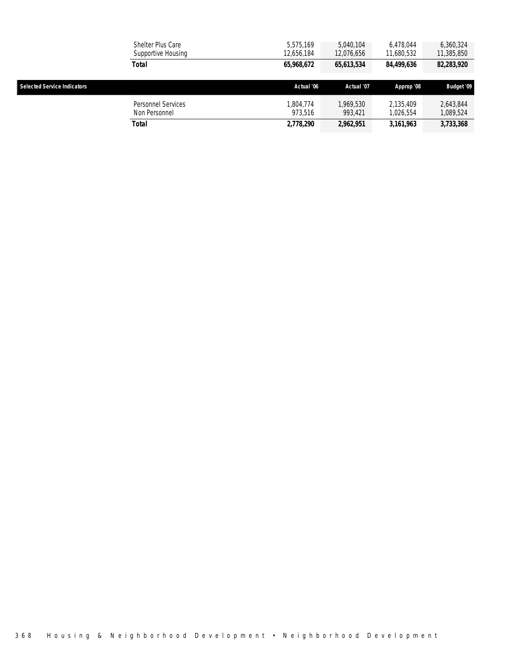|                                    | Shelter Plus Care<br>Supportive Housing | 5.575.169<br>12,656,184 | 5.040.104<br>12,076,656 | 6.478.044<br>11,680,532 | 6.360.324<br>11,385,850  |
|------------------------------------|-----------------------------------------|-------------------------|-------------------------|-------------------------|--------------------------|
|                                    | Total                                   | 65,968,672              | 65,613,534              | 84,499,636              | <i><b>82,283,920</b></i> |
| <b>Selected Service Indicators</b> |                                         | Actual '06              | Actual '07              | Approp '08              | <b>Budget '09</b>        |
|                                    | Personnel Services<br>Non Personnel     | 1.804.774<br>973.516    | 1.969.530<br>993,421    | 2.135.409<br>1.026.554  | 2,643,844<br>1,089,524   |
|                                    | Total                                   | 2,778,290               | 2,962,951               | 3,161,963               | 3,733,368                |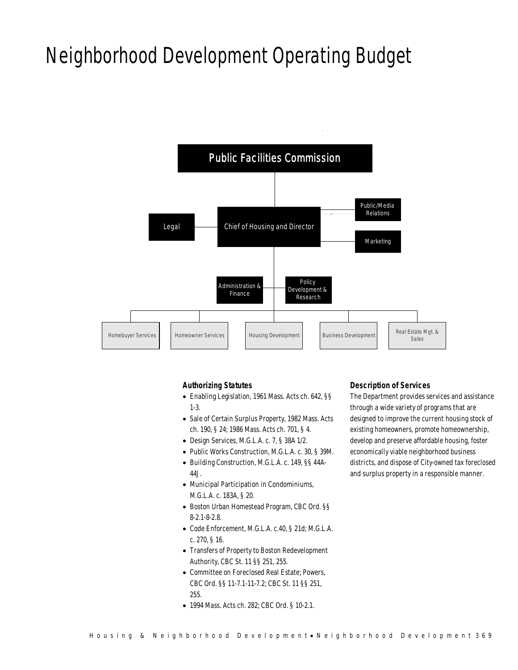# Neighborhood Development Operating Budget



## *Authorizing Statutes*

- Enabling Legislation, 1961 Mass. Acts ch. 642, §§ 1-3.
- Sale of Certain Surplus Property, 1982 Mass. Acts ch. 190, § 24; 1986 Mass. Acts ch. 701, § 4.
- Design Services, M.G.L.A. c. 7, § 38A 1/2.
- Public Works Construction, M.G.L.A. c. 30, § 39M.
- Building Construction, M.G.L.A. c. 149, §§ 44A-44J.
- Municipal Participation in Condominiums, M.G.L.A. c. 183A, § 20.
- Boston Urban Homestead Program, CBC Ord. §§ 8-2.1-8-2.8.
- Code Enforcement, M.G.L.A. c.40, § 21d; M.G.L.A. c. 270, § 16.
- Transfers of Property to Boston Redevelopment Authority, CBC St. 11 §§ 251, 255.
- Committee on Foreclosed Real Estate; Powers, CBC Ord. §§ 11-7.1-11-7.2; CBC St. 11 §§ 251, 255.
- 1994 Mass. Acts ch. 282; CBC Ord. § 10-2.1.

## *Description of Services*

The Department provides services and assistance through a wide variety of programs that are designed to improve the current housing stock of existing homeowners, promote homeownership, develop and preserve affordable housing, foster economically viable neighborhood business districts, and dispose of City-owned tax foreclosed and surplus property in a responsible manner.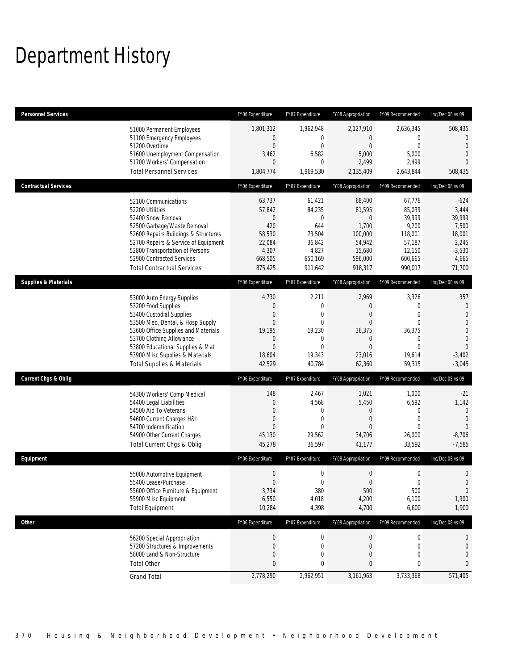# Department History

| Personnel Services              |                                                                                                                                                                                                                                                                                                      | FY06 Expenditure                                                                       | FY07 Expenditure                                                                                        | FY08 Appropriation                                                                                          | FY09 Recommended                                                                                    | Inc/Dec 08 vs 09                                                                                                                        |
|---------------------------------|------------------------------------------------------------------------------------------------------------------------------------------------------------------------------------------------------------------------------------------------------------------------------------------------------|----------------------------------------------------------------------------------------|---------------------------------------------------------------------------------------------------------|-------------------------------------------------------------------------------------------------------------|-----------------------------------------------------------------------------------------------------|-----------------------------------------------------------------------------------------------------------------------------------------|
|                                 | 51000 Permanent Employees<br>51100 Emergency Employees<br>51200 Overtime<br>51600 Unemployment Compensation<br>51700 Workers' Compensation<br><b>Total Personnel Services</b>                                                                                                                        | 1,801,312<br>$\mathbf 0$<br>$\overline{0}$<br>3,462<br>0<br>1,804,774                  | 1,962,948<br>0<br>$\overline{0}$<br>6,582<br>0<br>1,969,530                                             | 2,127,910<br>$\overline{0}$<br>$\mathbf{0}$<br>5,000<br>2,499<br>2,135,409                                  | 2,636,345<br>0<br>$\overline{0}$<br>5,000<br>2,499<br>2,643,844                                     | 508,435<br>$\theta$<br>$\overline{0}$<br>$\overline{0}$<br>$\Omega$<br>508,435                                                          |
| <b>Contractual Services</b>     |                                                                                                                                                                                                                                                                                                      | FY06 Expenditure                                                                       | FY07 Expenditure                                                                                        | FY08 Appropriation                                                                                          | FY09 Recommended                                                                                    | Inc/Dec 08 vs 09                                                                                                                        |
|                                 | 52100 Communications<br>52200 Utilities<br>52400 Snow Removal<br>52500 Garbage/Waste Removal<br>52600 Repairs Buildings & Structures<br>52700 Repairs & Service of Equipment<br>52800 Transportation of Persons<br>52900 Contracted Services<br><b>Total Contractual Services</b>                    | 63,737<br>57,842<br>0<br>420<br>58,530<br>22,084<br>4,307<br>668,505<br>875,425        | 61,421<br>84,235<br>0<br>644<br>73,504<br>36,842<br>4,827<br>650,169<br>911,642                         | 68,400<br>81,595<br>0<br>1,700<br>100,000<br>54,942<br>15,680<br>596,000<br>918,317                         | 67,776<br>85,039<br>39,999<br>9,200<br>118,001<br>57,187<br>12,150<br>600,665<br>990,017            | $-624$<br>3,444<br>39,999<br>7,500<br>18,001<br>2,245<br>$-3,530$<br>4,665<br>71,700                                                    |
| <b>Supplies &amp; Materials</b> |                                                                                                                                                                                                                                                                                                      | FY06 Expenditure                                                                       | FY07 Expenditure                                                                                        | FY08 Appropriation                                                                                          | FY09 Recommended                                                                                    | Inc/Dec 08 vs 09                                                                                                                        |
|                                 | 53000 Auto Energy Supplies<br>53200 Food Supplies<br>53400 Custodial Supplies<br>53500 Med, Dental, & Hosp Supply<br>53600 Office Supplies and Materials<br>53700 Clothing Allowance<br>53800 Educational Supplies & Mat<br>53900 Misc Supplies & Materials<br><b>Total Supplies &amp; Materials</b> | 4,730<br>0<br>0<br>$\overline{0}$<br>19,195<br>0<br>$\overline{0}$<br>18,604<br>42,529 | 2,211<br>$\mathbf 0$<br>0<br>$\mathbf{0}$<br>19,230<br>$\mathbf{0}$<br>$\mathbf{0}$<br>19,343<br>40,784 | 2,969<br>0<br>$\mathbf{0}$<br>$\overline{0}$<br>36,375<br>$\mathbf 0$<br>$\overline{0}$<br>23,016<br>62,360 | 3,326<br>0<br>$\overline{0}$<br>$\overline{0}$<br>36,375<br>0<br>$\overline{0}$<br>19,614<br>59,315 | 357<br>$\boldsymbol{0}$<br>$\overline{0}$<br>$\boldsymbol{0}$<br>$\overline{0}$<br>$\mathbf{0}$<br>$\mathbf{0}$<br>$-3,402$<br>$-3,045$ |
| <b>Current Chgs &amp; Oblig</b> |                                                                                                                                                                                                                                                                                                      | FY06 Expenditure                                                                       | FY07 Expenditure                                                                                        | FY08 Appropriation                                                                                          | FY09 Recommended                                                                                    | Inc/Dec 08 vs 09                                                                                                                        |
|                                 | 54300 Workers' Comp Medical<br>54400 Legal Liabilities<br>54500 Aid To Veterans<br>54600 Current Charges H&I<br>54700 Indemnification<br>54900 Other Current Charges<br>Total Current Chgs & Oblig                                                                                                   | 148<br>0<br>0<br>$\mathbf 0$<br>$\overline{0}$<br>45,130<br>45,278                     | 2,467<br>4,568<br>$\mathbf{0}$<br>$\mathbf{0}$<br>0<br>29,562<br>36,597                                 | 1,021<br>5,450<br>$\mathbf 0$<br>$\mathbf{0}$<br>$\Omega$<br>34,706<br>41,177                               | 1,000<br>6,592<br>0<br>$\overline{0}$<br>$\Omega$<br>26,000<br>33,592                               | $-21$<br>1,142<br>$\mathbf{0}$<br>$\mathbf{0}$<br>$\Omega$<br>$-8,706$<br>$-7,585$                                                      |
| Equipment                       |                                                                                                                                                                                                                                                                                                      | FY06 Expenditure                                                                       | FY07 Expenditure                                                                                        | FY08 Appropriation                                                                                          | FY09 Recommended                                                                                    | Inc/Dec 08 vs 09                                                                                                                        |
|                                 | 55000 Automotive Equipment<br>55400 Lease/Purchase<br>55600 Office Furniture & Equipment<br>55900 Misc Equipment<br><b>Total Equipment</b>                                                                                                                                                           | $\mathbf 0$<br>$\overline{0}$<br>3,734<br>6,550<br>10,284                              | 0<br>0<br>380<br>4,018<br>4,398                                                                         | $\boldsymbol{0}$<br>$\mathbf{0}$<br>500<br>4,200<br>4,700                                                   | $\mathbf 0$<br>$\overline{0}$<br>500<br>6,100<br>6,600                                              | 0<br>$\mathbf{0}$<br>$\mathbf{0}$<br>1,900<br>1,900                                                                                     |
| <b>Other</b>                    |                                                                                                                                                                                                                                                                                                      | FY06 Expenditure                                                                       | FY07 Expenditure                                                                                        | FY08 Appropriation                                                                                          | FY09 Recommended                                                                                    | Inc/Dec 08 vs 09                                                                                                                        |
|                                 | 56200 Special Appropriation<br>57200 Structures & Improvements<br>58000 Land & Non-Structure<br><b>Total Other</b>                                                                                                                                                                                   | $\pmb{0}$<br>0<br>0<br>0                                                               | $\boldsymbol{0}$<br>0<br>0<br>0                                                                         | 0<br>$\boldsymbol{0}$<br>$\mathbf 0$<br>0                                                                   | 0<br>0<br>0<br>0                                                                                    | $\theta$<br>$\mathbf 0$<br>$\mathbf 0$<br>$\mathbf{0}$                                                                                  |
|                                 | <b>Grand Total</b>                                                                                                                                                                                                                                                                                   | 2,778,290                                                                              | 2,962,951                                                                                               | 3,161,963                                                                                                   | 3,733,368                                                                                           | 571,405                                                                                                                                 |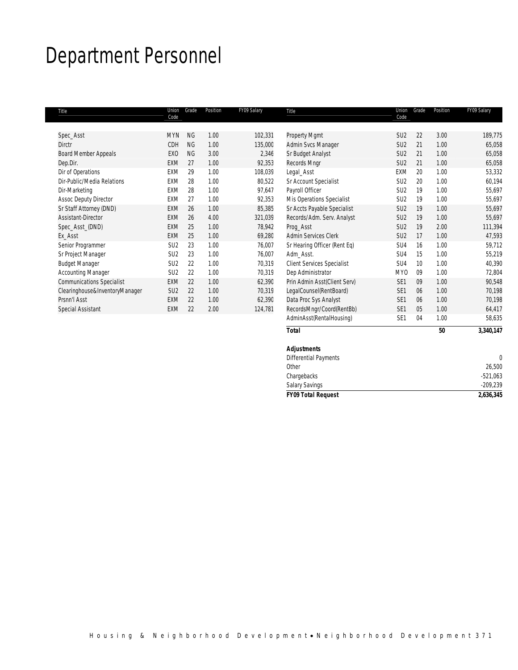# Department Personnel

| Title                            | Union<br>Code   | Grade     | Position | FY09 Salary | Title                             | Union<br>Code   | Grade | Position | FY09 Salary |
|----------------------------------|-----------------|-----------|----------|-------------|-----------------------------------|-----------------|-------|----------|-------------|
|                                  |                 |           |          |             |                                   |                 |       |          |             |
| Spec_Asst                        | <b>MYN</b>      | <b>NG</b> | 1.00     | 102,331     | Property Mgmt                     | SU <sub>2</sub> | 22    | 3.00     | 189,775     |
| <b>Dirctr</b>                    | CDH             | <b>NG</b> | 1.00     | 135,000     | Admin Svcs Manager                | SU <sub>2</sub> | 21    | 1.00     | 65,058      |
| Board Member Appeals             | EX <sub>0</sub> | <b>NG</b> | 3.00     | 2,346       | Sr Budget Analyst                 | SU <sub>2</sub> | 21    | 1.00     | 65,058      |
| Dep.Dir.                         | <b>EXM</b>      | 27        | 1.00     | 92,353      | Records Mngr                      | SU <sub>2</sub> | 21    | 1.00     | 65,058      |
| Dir of Operations                | EXM             | 29        | 1.00     | 108,039     | Legal_Asst                        | EXM             | 20    | 1.00     | 53,332      |
| Dir-Public/Media Relations       | EXM             | 28        | 1.00     | 80,522      | Sr Account Specialist             | SU <sub>2</sub> | 20    | 1.00     | 60,194      |
| Dir-Marketing                    | EXM             | 28        | 1.00     | 97,647      | Payroll Officer                   | SU <sub>2</sub> | 19    | 1.00     | 55,697      |
| <b>Assoc Deputy Director</b>     | EXM             | 27        | 1.00     | 92,353      | Mis Operations Specialist         | SU <sub>2</sub> | 19    | 1.00     | 55,697      |
| Sr Staff Attorney (DND)          | <b>EXM</b>      | 26        | 1.00     | 85,385      | Sr Accts Payable Specialist       | SU <sub>2</sub> | 19    | 1.00     | 55,697      |
| Assistant-Director               | <b>EXM</b>      | 26        | 4.00     | 321,039     | Records/Adm. Serv. Analyst        | SU <sub>2</sub> | 19    | 1.00     | 55,697      |
| Spec_Asst_(DND)                  | <b>EXM</b>      | 25        | 1.00     | 78,942      | Prog_Asst                         | SU <sub>2</sub> | 19    | 2.00     | 111,394     |
| Ex Asst                          | <b>EXM</b>      | 25        | 1.00     | 69,280      | <b>Admin Services Clerk</b>       | SU <sub>2</sub> | 17    | 1.00     | 47,593      |
| Senior Programmer                | SU <sub>2</sub> | 23        | 1.00     | 76,007      | Sr Hearing Officer (Rent Eq)      | SU4             | 16    | 1.00     | 59,712      |
| Sr Project Manager               | SU <sub>2</sub> | 23        | 1.00     | 76,007      | Adm Asst.                         | SU4             | 15    | 1.00     | 55,219      |
| <b>Budget Manager</b>            | SU <sub>2</sub> | 22        | 1.00     | 70,319      | <b>Client Services Specialist</b> | SU4             | 10    | 1.00     | 40,390      |
| <b>Accounting Manager</b>        | SU <sub>2</sub> | 22        | 1.00     | 70,319      | Dep Administrator                 | MY <sub>0</sub> | 09    | 1.00     | 72,804      |
| <b>Communications Specialist</b> | <b>EXM</b>      | 22        | 1.00     | 62,390      | Prin Admin Asst(Client Serv)      | SE <sub>1</sub> | 09    | 1.00     | 90,548      |
| Clearinghouse&InventoryManager   | SU <sub>2</sub> | 22        | 1.00     | 70,319      | LegalCounsel(RentBoard)           | SE <sub>1</sub> | 06    | 1.00     | 70,198      |
| Prsnn'l Asst                     | <b>EXM</b>      | 22        | 1.00     | 62,390      | Data Proc Sys Analyst             | SE <sub>1</sub> | 06    | 1.00     | 70,198      |
| Special Assistant                | <b>EXM</b>      | 22        | 2.00     | 124,781     | RecordsMngr/Coord(RentBb)         | SE <sub>1</sub> | 05    | 1.00     | 64,417      |
|                                  |                 |           |          |             | AdminAsst(RentalHousing)          | SE <sub>1</sub> | 04    | 1.00     | 58,635      |
|                                  |                 |           |          |             | <b>Total</b>                      |                 |       | 50       | 3,340,147   |

| <b>Salary Savings</b>        | $-209,239$ |
|------------------------------|------------|
|                              |            |
| Chargebacks                  | $-521,063$ |
| Other                        | 26,500     |
| <b>Differential Payments</b> |            |
| <b>Adjustments</b>           |            |
|                              |            |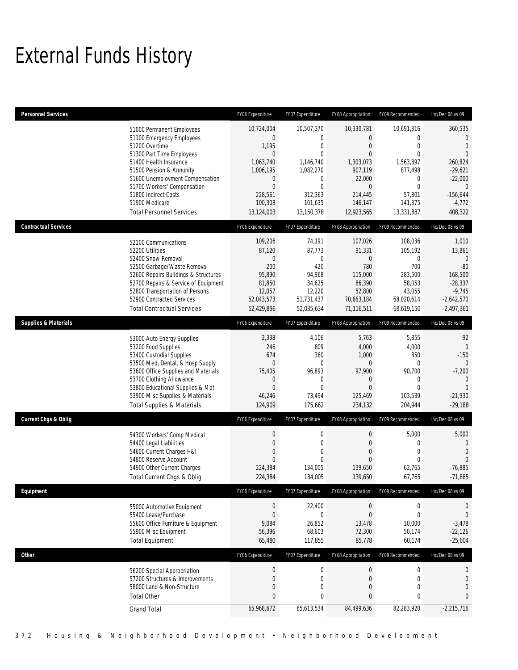# External Funds History

| <b>Personnel Services</b>       |                                                                                                                                                                                                                                                                                                            | FY06 Expenditure                                                                                                                            | FY07 Expenditure                                                                                                                                       | FY08 Appropriation                                                                                                           | FY09 Recommended                                                                                                                             | Inc/Dec 08 vs 09                                                                                                                           |
|---------------------------------|------------------------------------------------------------------------------------------------------------------------------------------------------------------------------------------------------------------------------------------------------------------------------------------------------------|---------------------------------------------------------------------------------------------------------------------------------------------|--------------------------------------------------------------------------------------------------------------------------------------------------------|------------------------------------------------------------------------------------------------------------------------------|----------------------------------------------------------------------------------------------------------------------------------------------|--------------------------------------------------------------------------------------------------------------------------------------------|
|                                 | 51000 Permanent Employees<br>51100 Emergency Employees<br>51200 Overtime<br>51300 Part Time Employees<br>51400 Health Insurance<br>51500 Pension & Annunity<br>51600 Unemployment Compensation<br>51700 Workers' Compensation<br>51800 Indirect Costs<br>51900 Medicare<br><b>Total Personnel Services</b> | 10,724,004<br>$\boldsymbol{0}$<br>1,195<br>$\overline{0}$<br>1,063,740<br>1,006,195<br>0<br>$\mathbf 0$<br>228,561<br>100,308<br>13,124,003 | 10,507,370<br>$\mathbf 0$<br>$\mathbf{0}$<br>$\mathbf{0}$<br>1,146,740<br>1,082,270<br>$\mathbf 0$<br>$\mathbf{0}$<br>312,363<br>101,635<br>13,150,378 | 10,330,781<br>0<br>$\mathbf{0}$<br>$\overline{0}$<br>1,303,073<br>907,119<br>22,000<br>0<br>214,445<br>146,147<br>12,923,565 | 10,691,316<br>$\mathbf{0}$<br>$\mathbf{0}$<br>$\overline{0}$<br>1,563,897<br>877,498<br>0<br>$\mathbf{0}$<br>57,801<br>141,375<br>13,331,887 | 360,535<br>$\mathbf 0$<br>$\Omega$<br>$\Omega$<br>260,824<br>$-29,621$<br>$-22,000$<br>$\overline{0}$<br>$-156,644$<br>$-4,772$<br>408,322 |
| <b>Contractual Services</b>     |                                                                                                                                                                                                                                                                                                            | FY06 Expenditure                                                                                                                            | FY07 Expenditure                                                                                                                                       | FY08 Appropriation                                                                                                           | FY09 Recommended                                                                                                                             | Inc/Dec 08 vs 09                                                                                                                           |
|                                 | 52100 Communications<br>52200 Utilities<br>52400 Snow Removal<br>52500 Garbage/Waste Removal<br>52600 Repairs Buildings & Structures<br>52700 Repairs & Service of Equipment<br>52800 Transportation of Persons<br>52900 Contracted Services<br><b>Total Contractual Services</b>                          | 109,206<br>87,120<br>$\boldsymbol{0}$<br>200<br>95,890<br>81,850<br>12,057<br>52,043,573<br>52,429,896                                      | 74,191<br>87,773<br>$\mathbf{0}$<br>420<br>94,968<br>34,625<br>12,220<br>51,731,437<br>52,035,634                                                      | 107,026<br>91,331<br>$\boldsymbol{0}$<br>780<br>115,000<br>86,390<br>52,800<br>70,663,184<br>71,116,511                      | 108,036<br>105,192<br>$\mathbf 0$<br>700<br>283,500<br>58,053<br>43,055<br>68,020,614<br>68,619,150                                          | 1,010<br>13,861<br>$\overline{0}$<br>$-80$<br>168,500<br>$-28,337$<br>$-9,745$<br>$-2,642,570$<br>$-2,497,361$                             |
| <b>Supplies &amp; Materials</b> |                                                                                                                                                                                                                                                                                                            | FY06 Expenditure                                                                                                                            | FY07 Expenditure                                                                                                                                       | FY08 Appropriation                                                                                                           | FY09 Recommended                                                                                                                             | Inc/Dec 08 vs 09                                                                                                                           |
|                                 | 53000 Auto Energy Supplies<br>53200 Food Supplies<br>53400 Custodial Supplies<br>53500 Med, Dental, & Hosp Supply<br>53600 Office Supplies and Materials<br>53700 Clothing Allowance<br>53800 Educational Supplies & Mat<br>53900 Misc Supplies & Materials<br><b>Total Supplies &amp; Materials</b>       | 2,338<br>246<br>674<br>$\overline{0}$<br>75,405<br>$\mathbf 0$<br>$\overline{0}$<br>46,246<br>124,909                                       | 4,106<br>809<br>360<br>$\mathbf{0}$<br>96,893<br>$\mathbf{0}$<br>$\theta$<br>73,494<br>175,662                                                         | 5,763<br>4,000<br>1,000<br>0<br>97,900<br>$\mathbf 0$<br>$\mathbf{0}$<br>125,469<br>234,132                                  | 5,855<br>4,000<br>850<br>0<br>90,700<br>$\mathbf 0$<br>$\Omega$<br>103,539<br>204,944                                                        | 92<br>$\mathbf{0}$<br>$-150$<br>$\Omega$<br>$-7,200$<br>$\Omega$<br>$\Omega$<br>$-21,930$<br>$-29,188$                                     |
| <b>Current Chgs &amp; Oblig</b> |                                                                                                                                                                                                                                                                                                            | FY06 Expenditure                                                                                                                            | FY07 Expenditure                                                                                                                                       | FY08 Appropriation                                                                                                           | FY09 Recommended                                                                                                                             | Inc/Dec 08 vs 09                                                                                                                           |
|                                 | 54300 Workers' Comp Medical<br>54400 Legal Liabilities<br>54600 Current Charges H&I<br>54800 Reserve Account<br>54900 Other Current Charges<br>Total Current Chgs & Oblig                                                                                                                                  | $\boldsymbol{0}$<br>$\mathbf 0$<br>$\overline{0}$<br>$\overline{0}$<br>224,384<br>224,384                                                   | $\boldsymbol{0}$<br>$\mathbf 0$<br>$\mathbf 0$<br>$\Omega$<br>134,005<br>134,005                                                                       | $\boldsymbol{0}$<br>$\boldsymbol{0}$<br>$\overline{0}$<br>$\mathbf{0}$<br>139,650<br>139,650                                 | 5,000<br>$\mathbf 0$<br>$\mathbf 0$<br>$\mathbf{0}$<br>62,765<br>67,765                                                                      | 5,000<br>$\overline{0}$<br>$\overline{0}$<br>$\Omega$<br>$-76,885$<br>$-71,885$                                                            |
| Equipment                       |                                                                                                                                                                                                                                                                                                            | FY06 Expenditure                                                                                                                            | FY07 Expenditure                                                                                                                                       | FY08 Appropriation                                                                                                           | FY09 Recommended                                                                                                                             | Inc/Dec 08 vs 09                                                                                                                           |
|                                 | 55000 Automotive Equipment<br>55400 Lease/Purchase<br>55600 Office Furniture & Equipment<br>55900 Misc Equipment<br><b>Total Equipment</b>                                                                                                                                                                 | $\boldsymbol{0}$<br>$\boldsymbol{0}$<br>9,084<br>56,396<br>65,480                                                                           | 22,400<br>$\boldsymbol{0}$<br>26,852<br>68,603<br>117,855                                                                                              | $\boldsymbol{0}$<br>$\boldsymbol{0}$<br>13,478<br>72,300<br>85,778                                                           | 0<br>$\mathbf 0$<br>10,000<br>50,174<br>60,174                                                                                               | $\mathbf 0$<br>$\mathbf 0$<br>$-3,478$<br>$-22,126$<br>$-25,604$                                                                           |
| <b>Other</b>                    |                                                                                                                                                                                                                                                                                                            | FY06 Expenditure                                                                                                                            | FY07 Expenditure                                                                                                                                       | FY08 Appropriation                                                                                                           | FY09 Recommended                                                                                                                             | Inc/Dec 08 vs 09                                                                                                                           |
|                                 | 56200 Special Appropriation<br>57200 Structures & Improvements<br>58000 Land & Non-Structure<br><b>Total Other</b>                                                                                                                                                                                         | $\mathbf 0$<br>$\boldsymbol{0}$<br>$\mathbf 0$<br>0                                                                                         | $\boldsymbol{0}$<br>$\mathbf 0$<br>$\mathbf 0$<br>0                                                                                                    | $\boldsymbol{0}$<br>$\boldsymbol{0}$<br>$\boldsymbol{0}$<br>$\pmb{0}$                                                        | $\boldsymbol{0}$<br>$\mathbf 0$<br>$\mathbf 0$<br>$\pmb{0}$                                                                                  | $\mathbf 0$<br>$\bf{0}$<br>$\mathbf 0$<br>$\pmb{0}$                                                                                        |
|                                 | <b>Grand Total</b>                                                                                                                                                                                                                                                                                         | 65,968,672                                                                                                                                  | 65,613,534                                                                                                                                             | 84,499,636                                                                                                                   | 82,283,920                                                                                                                                   | $-2,215,716$                                                                                                                               |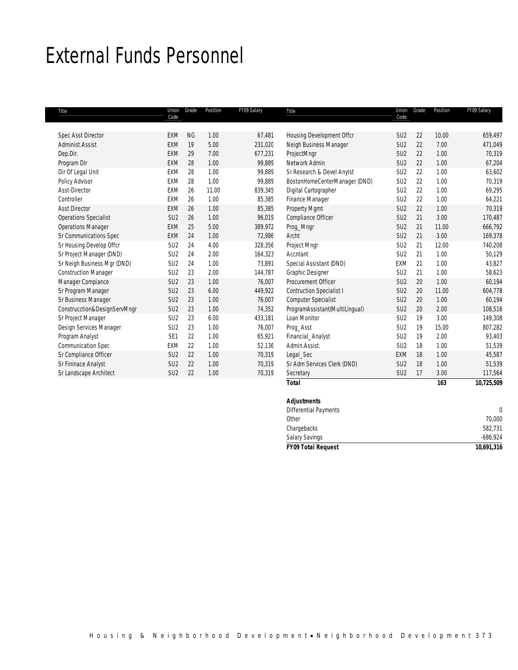## External Funds Personnel

| Title                        | Union<br>Code   | Grade     | Position | FY09 Salary | Title                           | Union<br>Code   | Grade | Position | FY09 Salary |
|------------------------------|-----------------|-----------|----------|-------------|---------------------------------|-----------------|-------|----------|-------------|
| <b>Spec Asst Director</b>    | <b>EXM</b>      | <b>NG</b> | 1.00     | 67,481      | Housing Development Offcr       | SU <sub>2</sub> | 22    | 10.00    | 659,497     |
| Administ Assist              | <b>FXM</b>      | 19        | 5.00     | 231,020     | Neigh Business Manager          | SU <sub>2</sub> | 22    | 7.00     | 471,049     |
| Dep.Dir.                     | EXM             | 29        | 7.00     | 677,231     | ProjectMngr                     | SU <sub>2</sub> | 22    | 1.00     | 70,319      |
| Program Dir                  | <b>EXM</b>      | 28        | 1.00     | 99,889      | Network Admin                   | SU <sub>2</sub> | 22    | 1.00     | 67,204      |
| Dir Of Legal Unit            | EXM             | 28        | 1.00     | 99,889      | Sr Research & Devel Anylst      | SU <sub>2</sub> | 22    | 1.00     | 63,602      |
| Policy Advisor               | <b>EXM</b>      | 28        | 1.00     | 99,889      | BostonHomeCenterManager (DND)   | SU <sub>2</sub> | 22    | 1.00     | 70,319      |
| Asst-Director                | <b>EXM</b>      | 26        | 11.00    | 839,345     | Digital Cartographer            | SU <sub>2</sub> | 22    | 1.00     | 69,295      |
| Controller                   | EXM             | 26        | 1.00     | 85,385      | Finance Manager                 | SU <sub>2</sub> | 22    | 1.00     | 64,221      |
| <b>Asst Director</b>         | <b>EXM</b>      | 26        | 1.00     | 85,385      | <b>Property Mgmt</b>            | SU <sub>2</sub> | 22    | 1.00     | 70,319      |
| <b>Operations Specialist</b> | SU <sub>2</sub> | 26        | 1.00     | 96,019      | Compliance Officer              | SU <sub>2</sub> | 21    | 3.00     | 170,487     |
| <b>Operations Manager</b>    | EXM             | 25        | 5.00     | 389,972     | Prog_Mngr                       | SU <sub>2</sub> | 21    | 11.00    | 666,792     |
| Sr Communications Spec       | <b>EXM</b>      | 24        | 1.00     | 72,986      | Archt                           | SU <sub>2</sub> | 21    | 3.00     | 169,378     |
| Sr Housing Develop Offcr     | SU <sub>2</sub> | 24        | 4.00     | 328,356     | Project Mngr                    | SU <sub>2</sub> | 21    | 12.00    | 740,208     |
| Sr Project Manager (DND)     | SU <sub>2</sub> | 24        | 2.00     | 164,323     | Accntant                        | SU <sub>2</sub> | 21    | 1.00     | 50,129      |
| Sr Neigh Business Mgr (DND)  | SU <sub>2</sub> | 24        | 1.00     | 73,891      | Special Assistant (DND)         | EXM             | 21    | 1.00     | 43,827      |
| <b>Construction Manager</b>  | SU <sub>2</sub> | 23        | 2.00     | 144,787     | <b>Graphic Designer</b>         | SU <sub>2</sub> | 21    | 1.00     | 58,623      |
| Manager Compiance            | SU <sub>2</sub> | 23        | 1.00     | 76,007      | Procurement Officer             | SU <sub>2</sub> | 20    | 1.00     | 60,194      |
| Sr Program Manager           | SU <sub>2</sub> | 23        | 6.00     | 449,922     | <b>Contruction Specialist I</b> | SU <sub>2</sub> | 20    | 11.00    | 604,778     |
| Sr Business Manager          | SU <sub>2</sub> | 23        | 1.00     | 76,007      | <b>Computer Specialist</b>      | SU <sub>2</sub> | 20    | 1.00     | 60,194      |
| Construcction&DesignServMngr | SU <sub>2</sub> | 23        | 1.00     | 74,352      | ProgramAssistant(MultiLingual)  | SU <sub>2</sub> | 20    | 2.00     | 108,516     |
| Sr Project Manager           | SU <sub>2</sub> | 23        | 6.00     | 433.181     | Loan Monitor                    | SU <sub>2</sub> | 19    | 3.00     | 149,308     |
| Design Services Manager      | SU <sub>2</sub> | 23        | 1.00     | 76,007      | Proq_Asst                       | SU <sub>2</sub> | 19    | 15.00    | 807,282     |
| Program Analyst              | SE <sub>1</sub> | 22        | 1.00     | 65,921      | Financial_Analyst               | SU <sub>2</sub> | 19    | 2.00     | 93,403      |
| <b>Communication Spec</b>    | EXM             | 22        | 1.00     | 52,136      | Admin.Assist.                   | SU <sub>2</sub> | 18    | 1.00     | 51,539      |
| Sr Compliance Officer        | SU <sub>2</sub> | 22        | 1.00     | 70,319      | Legal_Sec                       | <b>EXM</b>      | 18    | 1.00     | 45,587      |
| Sr Fininace Analyst          | SU <sub>2</sub> | 22        | 1.00     | 70,319      | Sr Adm Services Clerk (DND)     | SU <sub>2</sub> | 18    | 1.00     | 51,539      |
| Sr Landscape Architect       | SU <sub>2</sub> | 22        | 1.00     | 70,319      | Secretary                       | SU <sub>2</sub> | 17    | 3.00     | 117,564     |
|                              |                 |           |          |             | <b>Total</b>                    |                 |       | 163      | 10,725,509  |

| <b>Adjustments</b>           |            |
|------------------------------|------------|
| <b>Differential Payments</b> |            |
| Other                        | 70,000     |
| Chargebacks                  | 582,731    |
| <b>Salary Savings</b>        | $-686,924$ |
| <b>FY09 Total Request</b>    | 10,691,316 |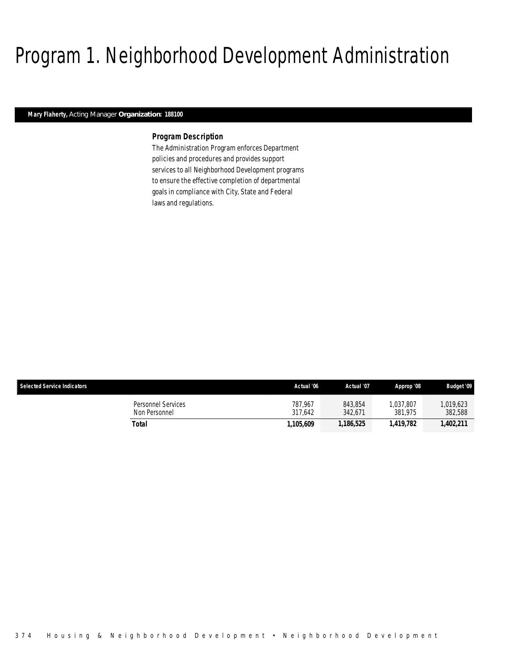# Program 1. Neighborhood Development Administration

## *Mary Flaherty, Acting Manager Organization: 188100*

## *Program Description*

The Administration Program enforces Department policies and procedures and provides support services to all Neighborhood Development programs to ensure the effective completion of departmental goals in compliance with City, State and Federal laws and regulations.

| <b>Selected Service Indicators</b>  | Actual '06         | Actual '07         | Approp '08          | <b>Budget '09</b>   |
|-------------------------------------|--------------------|--------------------|---------------------|---------------------|
| Personnel Services<br>Non Personnel | 787.967<br>317.642 | 843.854<br>342.671 | .037.807<br>381.975 | ,019,623<br>382,588 |
| Total                               | 1.105.609          | 1,186,525          | 1,419,782           | 1,402,211           |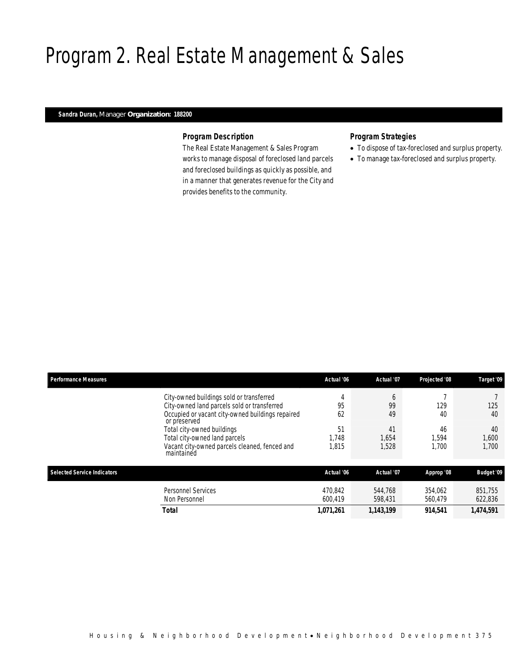# Program 2. Real Estate Management & Sales

## *Sandra Duran, Manager Organization: 188200*

## *Program Description*

The Real Estate Management & Sales Program works to manage disposal of foreclosed land parcels and foreclosed buildings as quickly as possible, and in a manner that generates revenue for the City and provides benefits to the community.

## *Program Strategies*

- To dispose of tax-foreclosed and surplus property.
- To manage tax-foreclosed and surplus property.

| <b>Performance Measures</b>        |                                                                  | Actual '06         | Actual '07         | Projected '08      | Target '09         |
|------------------------------------|------------------------------------------------------------------|--------------------|--------------------|--------------------|--------------------|
|                                    | City-owned buildings sold or transferred                         | 4                  | b                  |                    |                    |
|                                    | City-owned land parcels sold or transferred                      | 95                 | 99                 | 129                | 125                |
|                                    | Occupied or vacant city-owned buildings repaired<br>or preserved | 62                 | 49                 | 40                 | 40                 |
|                                    | Total city-owned buildings                                       | 51                 | 41                 | 46                 | 40                 |
|                                    | Total city-owned land parcels                                    | 1.748              | 1,654              | 1.594              | 1,600              |
|                                    | Vacant city-owned parcels cleaned, fenced and<br>maintained      | 1.815              | 1,528              | 1.700              | 1,700              |
| <b>Selected Service Indicators</b> |                                                                  | Actual '06         | Actual '07         | Approp '08         | <b>Budget '09</b>  |
|                                    | <b>Personnel Services</b><br>Non Personnel                       | 470.842<br>600.419 | 544.768<br>598,431 | 354.062<br>560.479 | 851.755<br>622,836 |
|                                    | <b>Total</b>                                                     | 1,071,261          | 1,143,199          | 914.541            | 1,474,591          |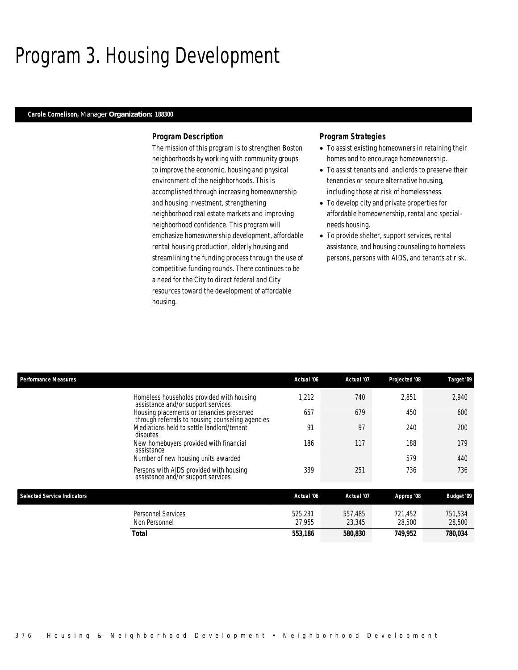# Program 3. Housing Development

## *Carole Cornelison, Manager Organization: 188300*

## *Program Description*

The mission of this program is to strengthen Boston neighborhoods by working with community groups to improve the economic, housing and physical environment of the neighborhoods. This is accomplished through increasing homeownership and housing investment, strengthening neighborhood real estate markets and improving neighborhood confidence. This program will emphasize homeownership development, affordable rental housing production, elderly housing and streamlining the funding process through the use of competitive funding rounds. There continues to be a need for the City to direct federal and City resources toward the development of affordable housing.

## *Program Strategies*

- To assist existing homeowners in retaining their homes and to encourage homeownership.
- To assist tenants and landlords to preserve their tenancies or secure alternative housing, including those at risk of homelessness.
- To develop city and private properties for affordable homeownership, rental and specialneeds housing.
- To provide shelter, support services, rental assistance, and housing counseling to homeless persons, persons with AIDS, and tenants at risk.

| <b>Performance Measures</b>        |                                                                                               | Actual '06 | Actual '07            | Projected '08 | Target '09        |
|------------------------------------|-----------------------------------------------------------------------------------------------|------------|-----------------------|---------------|-------------------|
|                                    | Homeless households provided with housing<br>assistance and/or support services               | 1,212      | 740                   | 2,851         | 2,940             |
|                                    | Housing placements or tenancies preserved<br>through referrals to housing counseling agencies | 657        | 679                   | 450           | 600               |
|                                    | Mediations held to settle landlord/tenant<br>disputes                                         | 91         | 97                    | 240           | 200               |
|                                    | New homebuyers provided with financial<br>assistance                                          | 186        | 117                   | 188           | 179               |
|                                    | Number of new housing units awarded                                                           |            |                       | 579           | 440               |
|                                    | Persons with AIDS provided with housing<br>assistance and/or support services                 | 339        | 251                   | 736           | 736               |
| <b>Selected Service Indicators</b> |                                                                                               | Actual '06 | Actual '07            |               | <b>Budget '09</b> |
|                                    |                                                                                               |            |                       | Approp '08    |                   |
|                                    | <b>Personnel Services</b>                                                                     | 525,231    | 557,485               | 721,452       | 751,534           |
|                                    | Non Personnel                                                                                 | 27,955     | 23,345                | 28,500        | 28,500            |
|                                    | <b>Total</b>                                                                                  | 553,186    | <i><b>580,830</b></i> | 749,952       | 780,034           |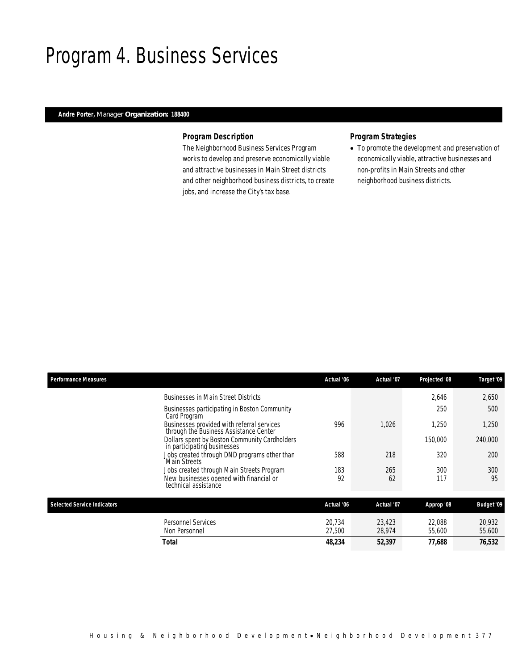## Program 4. Business Services

## *Andre Porter, Manager Organization: 188400*

## *Program Description*

The Neighborhood Business Services Program works to develop and preserve economically viable and attractive businesses in Main Street districts and other neighborhood business districts, to create jobs, and increase the City's tax base.

## *Program Strategies*

• To promote the development and preservation of economically viable, attractive businesses and non-profits in Main Streets and other neighborhood business districts.

| <b>Performance Measures</b>        |                                                                                      | Actual '06 | Actual '07 | Projected '08 | Target '09        |
|------------------------------------|--------------------------------------------------------------------------------------|------------|------------|---------------|-------------------|
|                                    | <b>Businesses in Main Street Districts</b>                                           |            |            | 2.646         | 2,650             |
|                                    | Businesses participating in Boston Community<br>Card Program                         |            |            | 250           | 500               |
|                                    | Businesses provided with referral services<br>through the Business Assistance Center | 996        | 1.026      | 1,250         | 1,250             |
|                                    | Dollars spent by Boston Community Cardholders<br>in participating businesses         |            |            | 150,000       | 240,000           |
|                                    | Jobs created through DND programs other than<br><b>Main Streets</b>                  | 588        | 218        | 320           | 200               |
|                                    | Jobs created through Main Streets Program                                            | 183        | 265        | 300           | 300               |
|                                    | New businesses opened with financial or<br>technical assistance                      | 92         | 62         | 117           | 95                |
| <b>Selected Service Indicators</b> |                                                                                      | Actual '06 | Actual '07 | Approp '08    | <b>Budget '09</b> |
|                                    | Personnel Services                                                                   | 20.734     | 23,423     | 22,088        | 20,932            |
|                                    | Non Personnel                                                                        | 27,500     | 28,974     | 55,600        | 55,600            |
|                                    | Total                                                                                | 48,234     | 52,397     | 77.688        | 76,532            |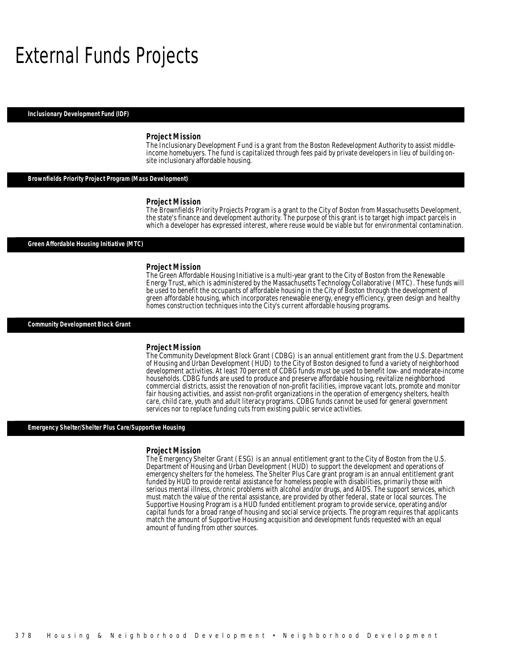## External Funds Projects

*Inclusionary Development Fund (IDF)* 

### *Project Mission*

The Inclusionary Development Fund is a grant from the Boston Redevelopment Authority to assist middleincome homebuyers. The fund is capitalized through fees paid by private developers in lieu of building onsite inclusionary affordable housing.

## *Brownfields Priority Project Program (Mass Development)*

### *Project Mission*

The Brownfields Priority Projects Program is a grant to the City of Boston from Massachusetts Development, the state's finance and development authority. The purpose of this grant is to target high impact parcels in which a developer has expressed interest, where reuse would be viable but for environmental contamination.

*Green Affordable Housing Initiative (MTC)* 

### *Project Mission*

The Green Affordable Housing Initiative is a multi-year grant to the City of Boston from the Renewable Energy Trust, which is administered by the Massachusetts Technology Collaborative (MTC). These funds will be used to benefit the occupants of affordable housing in the City of Boston through the development of green affordable housing, which incorporates renewable energy, enegry efficiency, green design and healthy homes construction techniques into the City's current affordable housing programs.

*Community Development Block Grant* 

### *Project Mission*

The Community Development Block Grant (CDBG) is an annual entitlement grant from the U.S. Department of Housing and Urban Development (HUD) to the City of Boston designed to fund a variety of neighborhood development activities. At least 70 percent of CDBG funds must be used to benefit low- and moderate-income households. CDBG funds are used to produce and preserve affordable housing, revitalize neighborhood commercial districts, assist the renovation of non-profit facilities, improve vacant lots, promote and monitor fair housing activities, and assist non-profit organizations in the operation of emergency shelters, health care, child care, youth and adult literacy programs. CDBG funds cannot be used for general government services nor to replace funding cuts from existing public service activities.

## *Emergency Shelter/Shelter Plus Care/Supportive Housing*

### *Project Mission*

The Emergency Shelter Grant (ESG) is an annual entitlement grant to the City of Boston from the U.S. Department of Housing and Urban Development (HUD) to support the development and operations of emergency shelters for the homeless. The Shelter Plus Care grant program is an annual entitlement grant funded by HUD to provide rental assistance for homeless people with disabilities, primarily those with serious mental illness, chronic problems with alcohol and/or drugs, and AIDS. The support services, which must match the value of the rental assistance, are provided by other federal, state or local sources. The Supportive Housing Program is a HUD funded entitlement program to provide service, operating and/or capital funds for a broad range of housing and social service projects. The program requires that applicants match the amount of Supportive Housing acquisition and development funds requested with an equal amount of funding from other sources.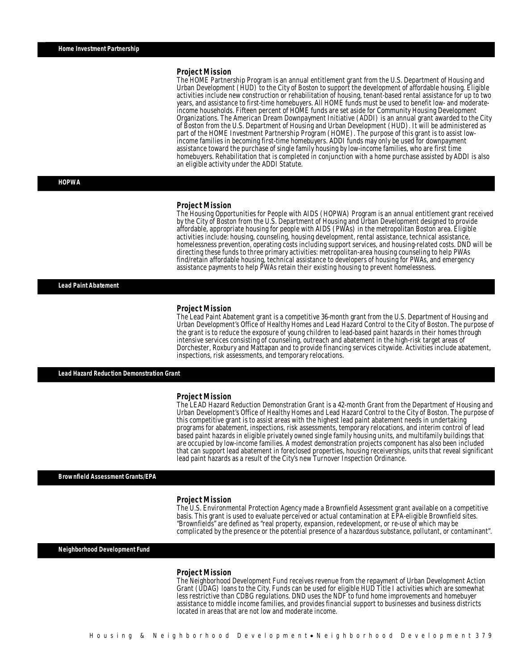### *Project Mission*

The HOME Partnership Program is an annual entitlement grant from the U.S. Department of Housing and Urban Development (HUD) to the City of Boston to support the development of affordable housing. Eligible activities include new construction or rehabilitation of housing, tenant-based rental assistance for up to two years, and assistance to first-time homebuyers. All HOME funds must be used to benefit low- and moderateincome households. Fifteen percent of HOME funds are set aside for Community Housing Development Organizations. The American Dream Downpayment Initiative (ADDI) is an annual grant awarded to the City of Boston from the U.S. Department of Housing and Urban Development (HUD). It will be administered as part of the HOME Investment Partnership Program (HOME). The purpose of this grant is to assist lowincome families in becoming first-time homebuyers. ADDI funds may only be used for downpayment assistance toward the purchase of single family housing by low-income families, who are first time homebuyers. Rehabilitation that is completed in conjunction with a home purchase assisted by ADDI is also an eligible activity under the ADDI Statute.

*HOPWA* 

#### *Project Mission*

The Housing Opportunities for People with AIDS (HOPWA) Program is an annual entitlement grant received by the City of Boston from the U.S. Department of Housing and Urban Development designed to provide affordable, appropriate housing for people with AIDS (PWAs) in the metropolitan Boston area. Eligible activities include: housing, counseling, housing development, rental assistance, technical assistance, homelessness prevention, operating costs including support services, and housing-related costs. DND will be directing these funds to three primary activities: metropolitan-area housing counseling to help PWAs find/retain affordable housing, technical assistance to developers of housing for PWAs, and emergency assistance payments to help PWAs retain their existing housing to prevent homelessness.

*Lead Paint Abatement* 

### *Project Mission*

The Lead Paint Abatement grant is a competitive 36-month grant from the U.S. Department of Housing and Urban Development's Office of Healthy Homes and Lead Hazard Control to the City of Boston. The purpose of the grant is to reduce the exposure of young children to lead-based paint hazards in their homes through intensive services consisting of counseling, outreach and abatement in the high-risk target areas of Dorchester, Roxbury and Mattapan and to provide financing services citywide. Activities include abatement, inspections, risk assessments, and temporary relocations.

*Lead Hazard Reduction Demonstration Grant* 

#### *Project Mission*

The LEAD Hazard Reduction Demonstration Grant is a 42-month Grant from the Department of Housing and Urban Development's Office of Healthy Homes and Lead Hazard Control to the City of Boston. The purpose of this competitive grant is to assist areas with the highest lead paint abatement needs in undertaking programs for abatement, inspections, risk assessments, temporary relocations, and interim control of lead based paint hazards in eligible privately owned single family housing units, and multifamily buildings that are occupied by low-income families. A modest demonstration projects component has also been included that can support lead abatement in foreclosed properties, housing receiverships, units that reveal significant lead paint hazards as a result of the City's new Turnover Inspection Ordinance.

### *Brownfield Assessment Grants/EPA*

### *Project Mission*

The U.S. Environmental Protection Agency made a Brownfield Assessment grant available on a competitive basis. This grant is used to evaluate perceived or actual contamination at EPA-eligible Brownfield sites. "Brownfields" are defined as "real property, expansion, redevelopment, or re-use of which may be complicated by the presence or the potential presence of a hazardous substance, pollutant, or contaminant".

*Neighborhood Development Fund* 

### *Project Mission*

The Neighborhood Development Fund receives revenue from the repayment of Urban Development Action Grant (UDAG) loans to the City. Funds can be used for eligible HUD Title I activities which are somewhat less restrictive than CDBG regulations. DND uses the NDF to fund home improvements and homebuyer assistance to middle income families, and provides financial support to businesses and business districts located in areas that are not low and moderate income.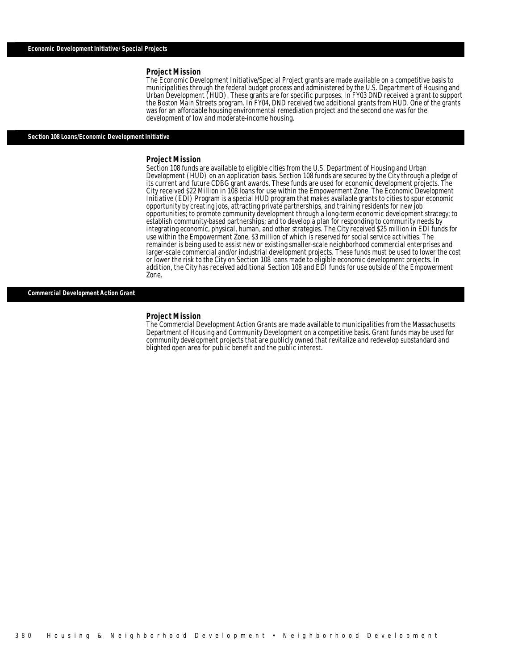#### *Project Mission*

The Economic Development Initiative/Special Project grants are made available on a competitive basis to municipalities through the federal budget process and administered by the U.S. Department of Housing and Urban Development (HUD). These grants are for specific purposes. In FY03 DND received a grant to support the Boston Main Streets program. In FY04, DND received two additional grants from HUD. One of the grants was for an affordable housing environmental remediation project and the second one was for the development of low and moderate-income housing.

### *Section 108 Loans/Economic Development Initiative*

#### *Project Mission*

Section 108 funds are available to eligible cities from the U.S. Department of Housing and Urban Development (HUD) on an application basis. Section 108 funds are secured by the City through a pledge of its current and future CDBG grant awards. These funds are used for economic development projects. The City received \$22 Million in 108 loans for use within the Empowerment Zone. The Economic Development Initiative (EDI) Program is a special HUD program that makes available grants to cities to spur economic opportunity by creating jobs, attracting private partnerships, and training residents for new job opportunities; to promote community development through a long-term economic development strategy; to establish community-based partnerships; and to develop a plan for responding to community needs by integrating economic, physical, human, and other strategies. The City received \$25 million in EDI funds for use within the Empowerment Zone, \$3 million of which is reserved for social service activities. The remainder is being used to assist new or existing smaller-scale neighborhood commercial enterprises and larger-scale commercial and/or industrial development projects. These funds must be used to lower the cost or lower the risk to the City on Section 108 loans made to eligible economic development projects. In addition, the City has received additional Section 108 and EDI funds for use outside of the Empowerment Zone. 

### *Commercial Development Action Grant*

### *Project Mission*

The Commercial Development Action Grants are made available to municipalities from the Massachusetts Department of Housing and Community Development on a competitive basis. Grant funds may be used for community development projects that are publicly owned that revitalize and redevelop substandard and blighted open area for public benefit and the public interest.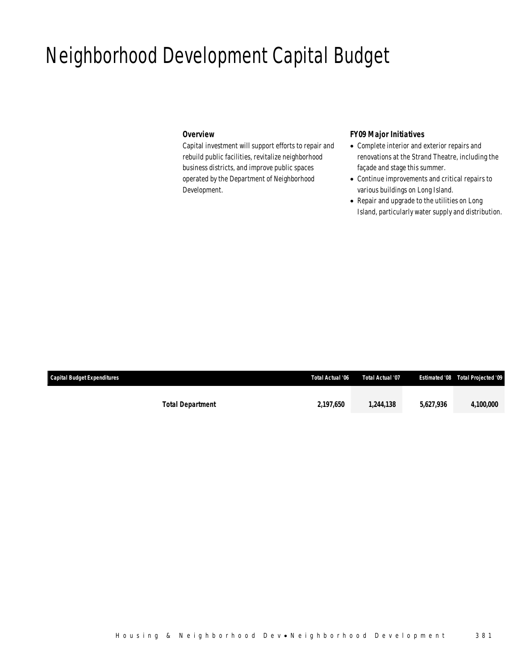# Neighborhood Development Capital Budget

## *Overview*

Capital investment will support efforts to repair and rebuild public facilities, revitalize neighborhood business districts, and improve public spaces operated by the Department of Neighborhood Development.

## *FY09 Major Initiatives*

- Complete interior and exterior repairs and renovations at the Strand Theatre, including the façade and stage this summer.
- Continue improvements and critical repairs to various buildings on Long Island.
- Repair and upgrade to the utilities on Long Island, particularly water supply and distribution.

| <b>Capital Budget Expenditures</b> |                         | Total Actual '06 | Total Actual '07 |           | <b>Estimated '08 Total Projected '09</b> |
|------------------------------------|-------------------------|------------------|------------------|-----------|------------------------------------------|
|                                    |                         |                  |                  |           |                                          |
|                                    | <b>Total Department</b> | 2,197,650        | 1.244.138        | 5.627.936 | 4,100,000                                |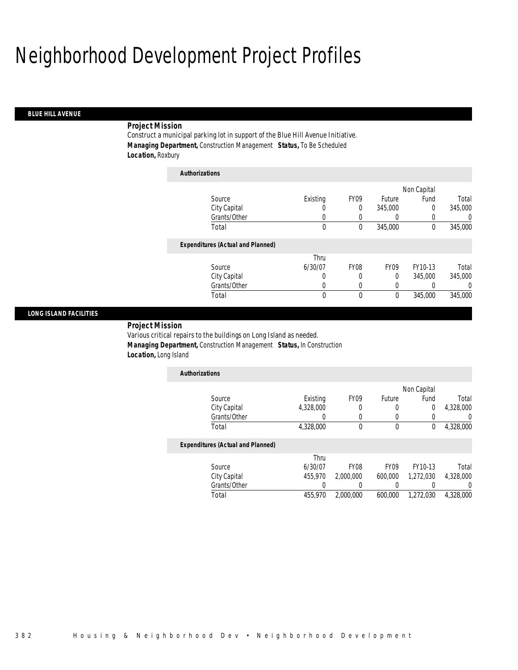# Neighborhood Development Project Profiles

*Authorizations*

## *BLUE HILL AVENUE*

## *Project Mission*

Construct a municipal parking lot in support of the Blue Hill Avenue Initiative. *Managing Department,* Construction Management *Status,* To Be Scheduled *Location,* Roxbury

| <b>Authorizations</b>                    |             |                  |                  |             |          |
|------------------------------------------|-------------|------------------|------------------|-------------|----------|
|                                          |             |                  |                  | Non Capital |          |
| Source                                   | Existing    | FY <sub>09</sub> | Future           | Fund        | Total    |
| City Capital                             | O           | 0                | 345,000          | $\Omega$    | 345,000  |
| Grants/Other                             | 0           | 0                | 0                | 0           | 0        |
| Total                                    | $\mathbf 0$ | 0                | 345,000          | 0           | 345,000  |
| <b>Expenditures (Actual and Planned)</b> |             |                  |                  |             |          |
|                                          | Thru        |                  |                  |             |          |
| Source                                   | 6/30/07     | <b>FY08</b>      | FY <sub>09</sub> | FY10-13     | Total    |
| City Capital                             | 0           | 0                | 0                | 345,000     | 345,000  |
| Grants/Other                             | 0           | 0                | 0                |             | $\Omega$ |
| Total                                    | 0           | 0                | 0                | 345,000     | 345,000  |
|                                          |             |                  |                  |             |          |

## *LONG ISLAND FACILITIES*

*Project Mission* 

Various critical repairs to the buildings on Long Island as needed. *Managing Department,* Construction Management *Status,* In Construction *Location,* Long Island

| <b>Authorizations</b> |           |                  |        |             |           |
|-----------------------|-----------|------------------|--------|-------------|-----------|
|                       |           |                  |        | Non Capital |           |
| Source                | Existing  | FY <sub>09</sub> | Future | Fund        | Total     |
| City Capital          | 4,328,000 |                  |        |             | 4,328,000 |
| Grants/Other          |           |                  |        |             |           |
| Total                 | 4,328,000 |                  |        |             | 4,328,000 |

## *Expenditures (Actual and Planned)*

|              |         | Thru             |                  |           |           |
|--------------|---------|------------------|------------------|-----------|-----------|
| Source       | 6/30/07 | FY <sub>08</sub> | FY <sub>09</sub> | FY10-13   | Total     |
| City Capital | 455.970 | 2,000,000        | 600,000          | 1.272.030 | 4,328,000 |
| Grants/Other |         |                  |                  |           |           |
| Total        | 455,970 | 2,000,000        | 600,000          | 1.272.030 | 4.328.000 |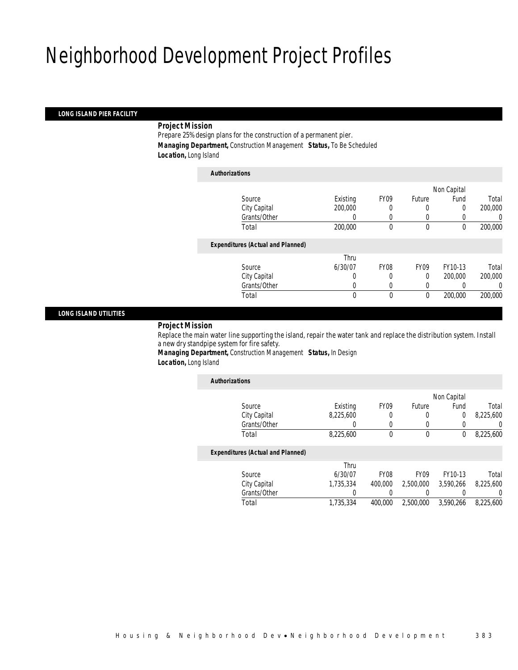# Neighborhood Development Project Profiles

## *LONG ISLAND PIER FACILITY*

## *Project Mission*

Prepare 25% design plans for the construction of a permanent pier. *Managing Department,* Construction Management *Status,* To Be Scheduled *Location,* Long Island

| <b>Authorizations</b>                    |          |                  |                  |             |         |
|------------------------------------------|----------|------------------|------------------|-------------|---------|
|                                          |          |                  |                  | Non Capital |         |
| Source                                   | Existing | FY <sub>09</sub> | Future           | Fund        | Total   |
| City Capital                             | 200,000  |                  | $\left($         | $\Omega$    | 200,000 |
| Grants/Other                             | 0        | 0                | $\left($         |             | 0       |
| Total                                    | 200,000  | 0                | $\mathbf 0$      | $\mathbf 0$ | 200,000 |
| <b>Expenditures (Actual and Planned)</b> |          |                  |                  |             |         |
|                                          | Thru     |                  |                  |             |         |
| Source                                   | 6/30/07  | <b>FY08</b>      | FY <sub>09</sub> | FY10-13     | Total   |
| City Capital                             | 0        | 0                | 0                | 200,000     | 200,000 |
| Grants/Other                             | 0        | 0                | 0                |             | 0       |
| Total                                    | 0        | $\theta$         | 0                | 200,000     | 200,000 |
|                                          |          |                  |                  |             |         |

## *LONG ISLAND UTILITIES*

## *Project Mission*

Replace the main water line supporting the island, repair the water tank and replace the distribution system. Install a new dry standpipe system for fire safety.

*Managing Department,* Construction Management *Status,* In Design *Location,* Long Island

| <b>Authorizations</b>                    |           |                  |                  |             |           |
|------------------------------------------|-----------|------------------|------------------|-------------|-----------|
|                                          |           |                  |                  | Non Capital |           |
| Source                                   | Existing  | <b>FY09</b>      | Future           | Fund        | Total     |
| City Capital                             | 8.225.600 | 0                | 0                | 0           | 8.225.600 |
| Grants/Other                             | 0         | 0                | 0                | 0           | 0         |
| Total                                    | 8,225,600 | 0                | 0                | 0           | 8.225.600 |
| <b>Expenditures (Actual and Planned)</b> |           |                  |                  |             |           |
|                                          | Thru      |                  |                  |             |           |
| Source                                   | 6/30/07   | FY <sub>08</sub> | FY <sub>09</sub> | FY10-13     | Total     |
| City Capital                             | 1.735.334 | 400,000          | 2,500,000        | 3.590.266   | 8.225.600 |
| Grants/Other                             |           |                  |                  |             | 0         |
| Total                                    | 1,735,334 | 400.000          | 2.500.000        | 3.590.266   | 8.225.600 |